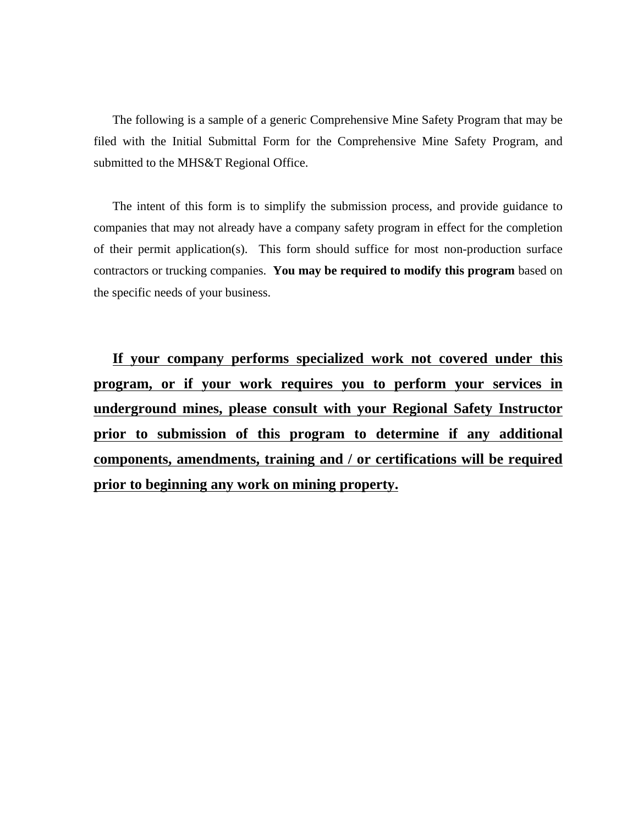The following is a sample of a generic Comprehensive Mine Safety Program that may be filed with the Initial Submittal Form for the Comprehensive Mine Safety Program, and submitted to the MHS&T Regional Office.

The intent of this form is to simplify the submission process, and provide guidance to companies that may not already have a company safety program in effect for the completion of their permit application(s). This form should suffice for most non-production surface contractors or trucking companies. **You may be required to modify this program** based on the specific needs of your business.

**If your company performs specialized work not covered under this program, or if your work requires you to perform your services in underground mines, please consult with your Regional Safety Instructor prior to submission of this program to determine if any additional components, amendments, training and / or certifications will be required prior to beginning any work on mining property.**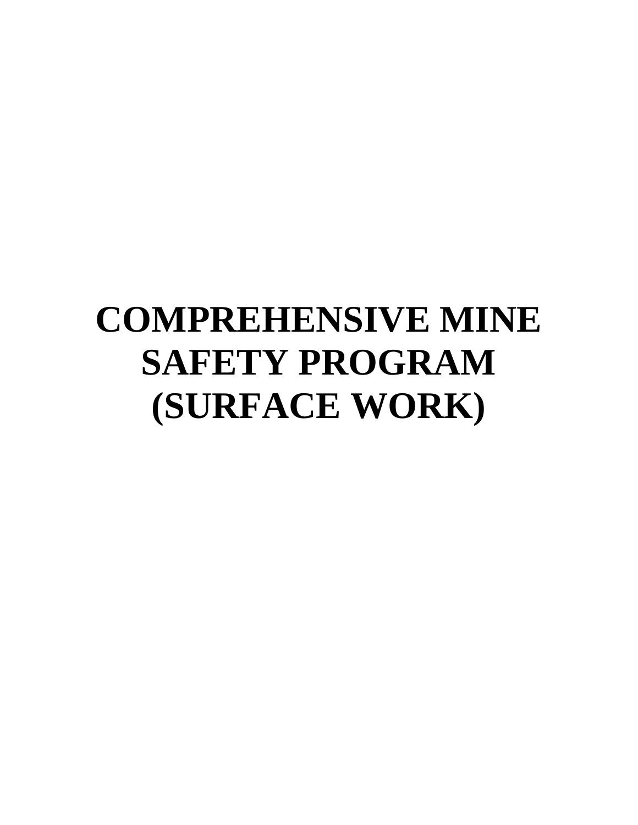# **COMPREHENSIVE MINE SAFETY PROGRAM (SURFACE WORK)**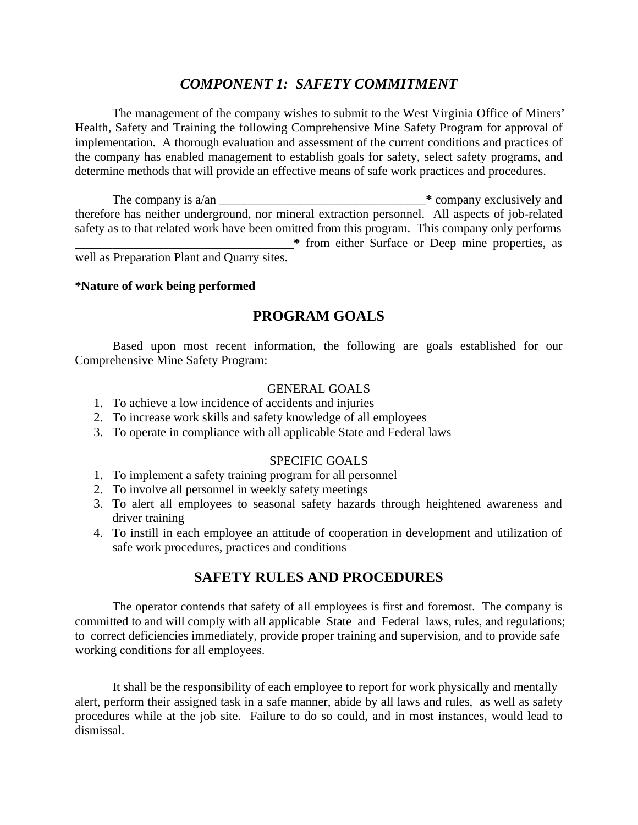# *COMPONENT 1: SAFETY COMMITMENT*

The management of the company wishes to submit to the West Virginia Office of Miners' Health, Safety and Training the following Comprehensive Mine Safety Program for approval of implementation. A thorough evaluation and assessment of the current conditions and practices of the company has enabled management to establish goals for safety, select safety programs, and determine methods that will provide an effective means of safe work practices and procedures.

The company is a/an \_\_\_\_\_\_\_\_\_\_\_\_\_\_\_\_\_\_\_\_\_\_\_\_\_\_\_\_\_\_\_\_\_**\*** company exclusively and therefore has neither underground, nor mineral extraction personnel. All aspects of job-related safety as to that related work have been omitted from this program. This company only performs \_\_\_\_\_\_\_\_\_\_\_\_\_\_\_\_\_\_\_\_\_\_\_\_\_\_\_\_\_\_\_\_\_\_\_**\*** from either Surface or Deep mine properties, as well as Preparation Plant and Quarry sites.

#### **\*Nature of work being performed**

# **PROGRAM GOALS**

Based upon most recent information, the following are goals established for our Comprehensive Mine Safety Program:

# GENERAL GOALS

- 1. To achieve a low incidence of accidents and injuries
- 2. To increase work skills and safety knowledge of all employees
- 3. To operate in compliance with all applicable State and Federal laws

# SPECIFIC GOALS

- 1. To implement a safety training program for all personnel
- 2. To involve all personnel in weekly safety meetings
- 3. To alert all employees to seasonal safety hazards through heightened awareness and driver training
- 4. To instill in each employee an attitude of cooperation in development and utilization of safe work procedures, practices and conditions

# **SAFETY RULES AND PROCEDURES**

The operator contends that safety of all employees is first and foremost. The company is committed to and will comply with all applicable State and Federal laws, rules, and regulations; to correct deficiencies immediately, provide proper training and supervision, and to provide safe working conditions for all employees.

It shall be the responsibility of each employee to report for work physically and mentally alert, perform their assigned task in a safe manner, abide by all laws and rules, as well as safety procedures while at the job site. Failure to do so could, and in most instances, would lead to dismissal.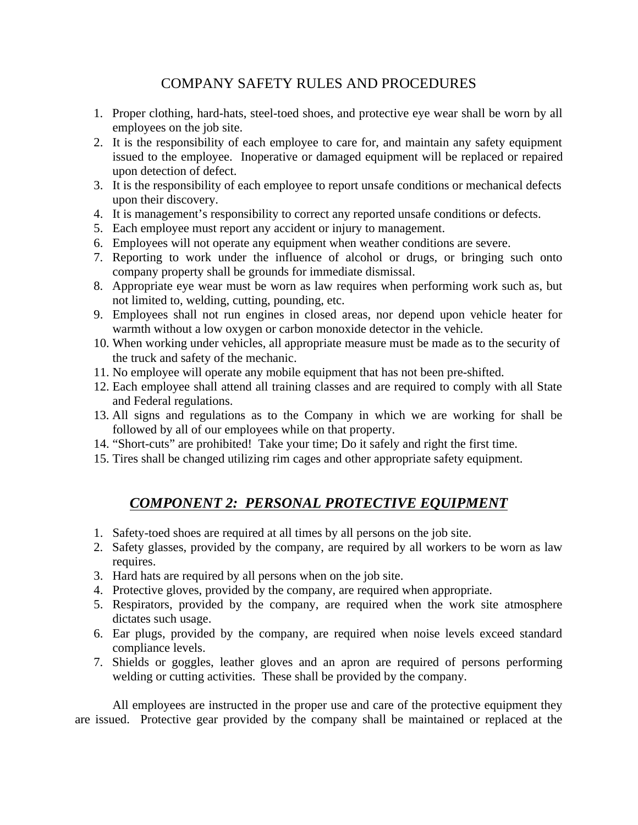# COMPANY SAFETY RULES AND PROCEDURES

- 1. Proper clothing, hard-hats, steel-toed shoes, and protective eye wear shall be worn by all employees on the job site.
- 2. It is the responsibility of each employee to care for, and maintain any safety equipment issued to the employee. Inoperative or damaged equipment will be replaced or repaired upon detection of defect.
- 3. It is the responsibility of each employee to report unsafe conditions or mechanical defects upon their discovery.
- 4. It is management's responsibility to correct any reported unsafe conditions or defects.
- 5. Each employee must report any accident or injury to management.
- 6. Employees will not operate any equipment when weather conditions are severe.
- 7. Reporting to work under the influence of alcohol or drugs, or bringing such onto company property shall be grounds for immediate dismissal.
- 8. Appropriate eye wear must be worn as law requires when performing work such as, but not limited to, welding, cutting, pounding, etc.
- 9. Employees shall not run engines in closed areas, nor depend upon vehicle heater for warmth without a low oxygen or carbon monoxide detector in the vehicle.
- 10. When working under vehicles, all appropriate measure must be made as to the security of the truck and safety of the mechanic.
- 11. No employee will operate any mobile equipment that has not been pre-shifted.
- 12. Each employee shall attend all training classes and are required to comply with all State and Federal regulations.
- 13. All signs and regulations as to the Company in which we are working for shall be followed by all of our employees while on that property.
- 14. "Short-cuts" are prohibited! Take your time; Do it safely and right the first time.
- 15. Tires shall be changed utilizing rim cages and other appropriate safety equipment.

# *COMPONENT 2: PERSONAL PROTECTIVE EQUIPMENT*

- 1. Safety-toed shoes are required at all times by all persons on the job site.
- 2. Safety glasses, provided by the company, are required by all workers to be worn as law requires.
- 3. Hard hats are required by all persons when on the job site.
- 4. Protective gloves, provided by the company, are required when appropriate.
- 5. Respirators, provided by the company, are required when the work site atmosphere dictates such usage.
- 6. Ear plugs, provided by the company, are required when noise levels exceed standard compliance levels.
- 7. Shields or goggles, leather gloves and an apron are required of persons performing welding or cutting activities. These shall be provided by the company.

All employees are instructed in the proper use and care of the protective equipment they are issued. Protective gear provided by the company shall be maintained or replaced at the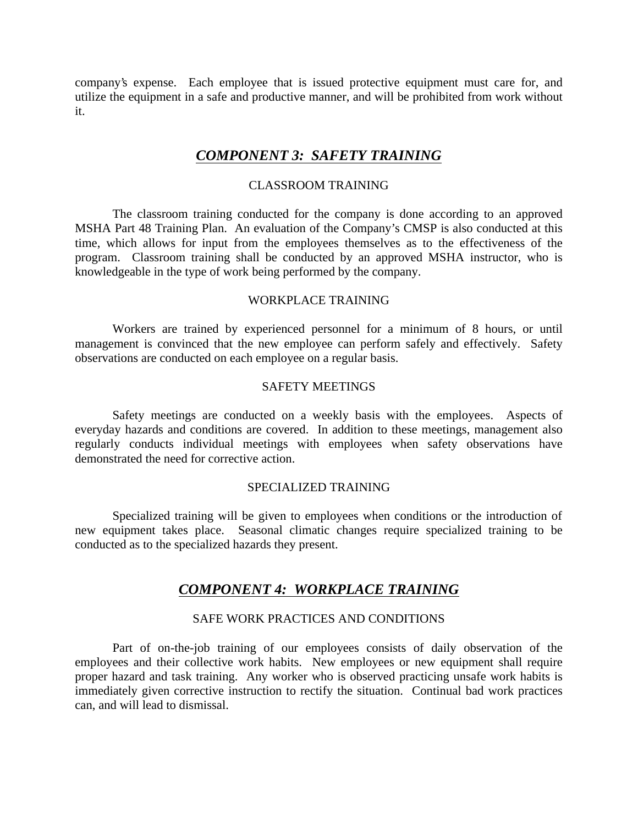company's expense. Each employee that is issued protective equipment must care for, and utilize the equipment in a safe and productive manner, and will be prohibited from work without it.

# *COMPONENT 3: SAFETY TRAINING*

#### CLASSROOM TRAINING

The classroom training conducted for the company is done according to an approved MSHA Part 48 Training Plan. An evaluation of the Company's CMSP is also conducted at this time, which allows for input from the employees themselves as to the effectiveness of the program. Classroom training shall be conducted by an approved MSHA instructor, who is knowledgeable in the type of work being performed by the company.

#### WORKPLACE TRAINING

Workers are trained by experienced personnel for a minimum of 8 hours, or until management is convinced that the new employee can perform safely and effectively. Safety observations are conducted on each employee on a regular basis.

## SAFETY MEETINGS

Safety meetings are conducted on a weekly basis with the employees. Aspects of everyday hazards and conditions are covered. In addition to these meetings, management also regularly conducts individual meetings with employees when safety observations have demonstrated the need for corrective action.

#### SPECIALIZED TRAINING

Specialized training will be given to employees when conditions or the introduction of new equipment takes place. Seasonal climatic changes require specialized training to be conducted as to the specialized hazards they present.

# *COMPONENT 4: WORKPLACE TRAINING*

## SAFE WORK PRACTICES AND CONDITIONS

Part of on-the-job training of our employees consists of daily observation of the employees and their collective work habits. New employees or new equipment shall require proper hazard and task training. Any worker who is observed practicing unsafe work habits is immediately given corrective instruction to rectify the situation. Continual bad work practices can, and will lead to dismissal.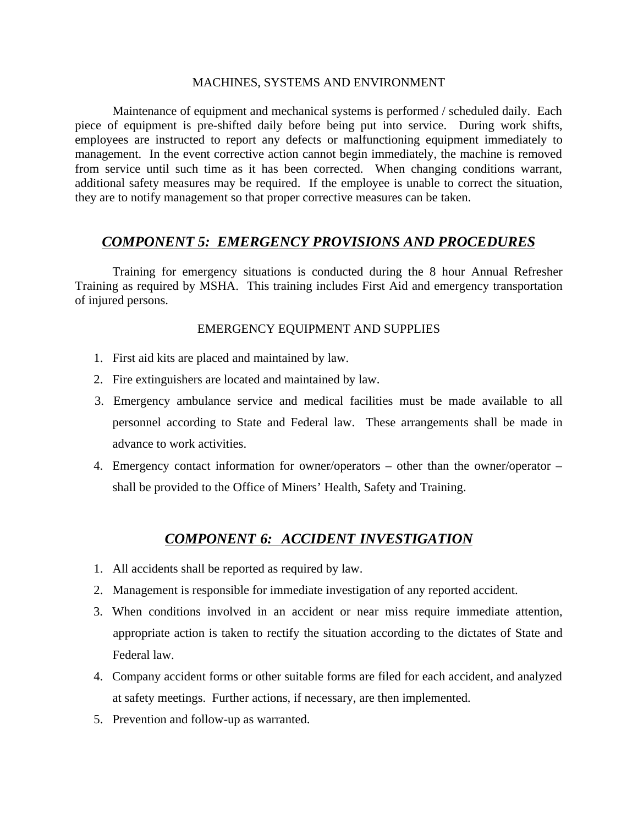#### MACHINES, SYSTEMS AND ENVIRONMENT

Maintenance of equipment and mechanical systems is performed / scheduled daily. Each piece of equipment is pre-shifted daily before being put into service. During work shifts, employees are instructed to report any defects or malfunctioning equipment immediately to management. In the event corrective action cannot begin immediately, the machine is removed from service until such time as it has been corrected. When changing conditions warrant, additional safety measures may be required. If the employee is unable to correct the situation, they are to notify management so that proper corrective measures can be taken.

# *COMPONENT 5: EMERGENCY PROVISIONS AND PROCEDURES*

Training for emergency situations is conducted during the 8 hour Annual Refresher Training as required by MSHA. This training includes First Aid and emergency transportation of injured persons.

#### EMERGENCY EQUIPMENT AND SUPPLIES

- 1. First aid kits are placed and maintained by law.
- 2. Fire extinguishers are located and maintained by law.
- 3. Emergency ambulance service and medical facilities must be made available to all personnel according to State and Federal law. These arrangements shall be made in advance to work activities.
- 4. Emergency contact information for owner/operators other than the owner/operator shall be provided to the Office of Miners' Health, Safety and Training.

# *COMPONENT 6: ACCIDENT INVESTIGATION*

- 1. All accidents shall be reported as required by law.
- 2. Management is responsible for immediate investigation of any reported accident.
- 3. When conditions involved in an accident or near miss require immediate attention, appropriate action is taken to rectify the situation according to the dictates of State and Federal law.
- 4. Company accident forms or other suitable forms are filed for each accident, and analyzed at safety meetings. Further actions, if necessary, are then implemented.
- 5. Prevention and follow-up as warranted.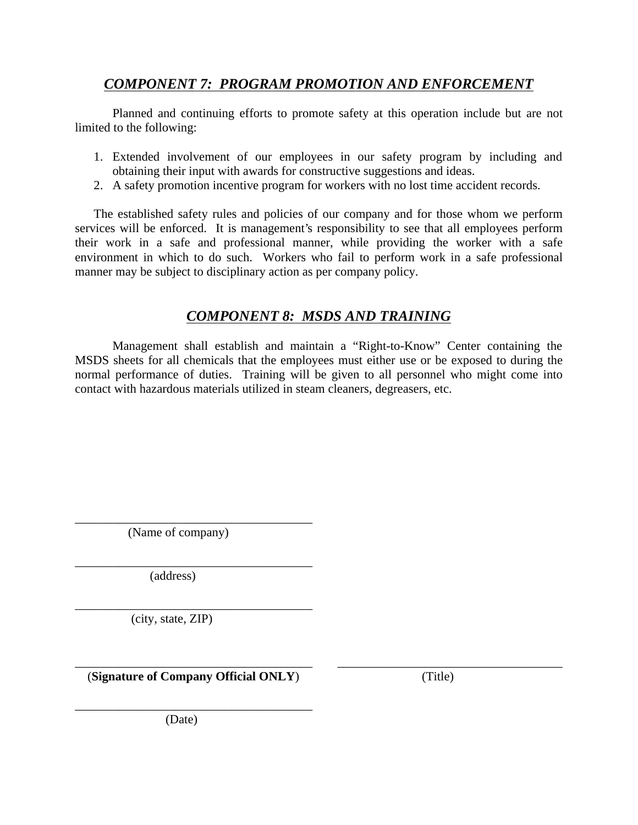# *COMPONENT 7: PROGRAM PROMOTION AND ENFORCEMENT*

Planned and continuing efforts to promote safety at this operation include but are not limited to the following:

- 1. Extended involvement of our employees in our safety program by including and obtaining their input with awards for constructive suggestions and ideas.
- 2. A safety promotion incentive program for workers with no lost time accident records.

The established safety rules and policies of our company and for those whom we perform services will be enforced. It is management's responsibility to see that all employees perform their work in a safe and professional manner, while providing the worker with a safe environment in which to do such. Workers who fail to perform work in a safe professional manner may be subject to disciplinary action as per company policy.

# *COMPONENT 8: MSDS AND TRAINING*

Management shall establish and maintain a "Right-to-Know" Center containing the MSDS sheets for all chemicals that the employees must either use or be exposed to during the normal performance of duties. Training will be given to all personnel who might come into contact with hazardous materials utilized in steam cleaners, degreasers, etc.

\_\_\_\_\_\_\_\_\_\_\_\_\_\_\_\_\_\_\_\_\_\_\_\_\_\_\_\_\_\_\_\_\_\_\_\_\_\_ (Name of company)

\_\_\_\_\_\_\_\_\_\_\_\_\_\_\_\_\_\_\_\_\_\_\_\_\_\_\_\_\_\_\_\_\_\_\_\_\_\_ (address)

\_\_\_\_\_\_\_\_\_\_\_\_\_\_\_\_\_\_\_\_\_\_\_\_\_\_\_\_\_\_\_\_\_\_\_\_\_\_ (city, state, ZIP)

\_\_\_\_\_\_\_\_\_\_\_\_\_\_\_\_\_\_\_\_\_\_\_\_\_\_\_\_\_\_\_\_\_\_\_\_\_\_ \_\_\_\_\_\_\_\_\_\_\_\_\_\_\_\_\_\_\_\_\_\_\_\_\_\_\_\_\_\_\_\_\_\_\_\_ (**Signature of Company Official ONLY**) (Title)

\_\_\_\_\_\_\_\_\_\_\_\_\_\_\_\_\_\_\_\_\_\_\_\_\_\_\_\_\_\_\_\_\_\_\_\_\_\_

(Date)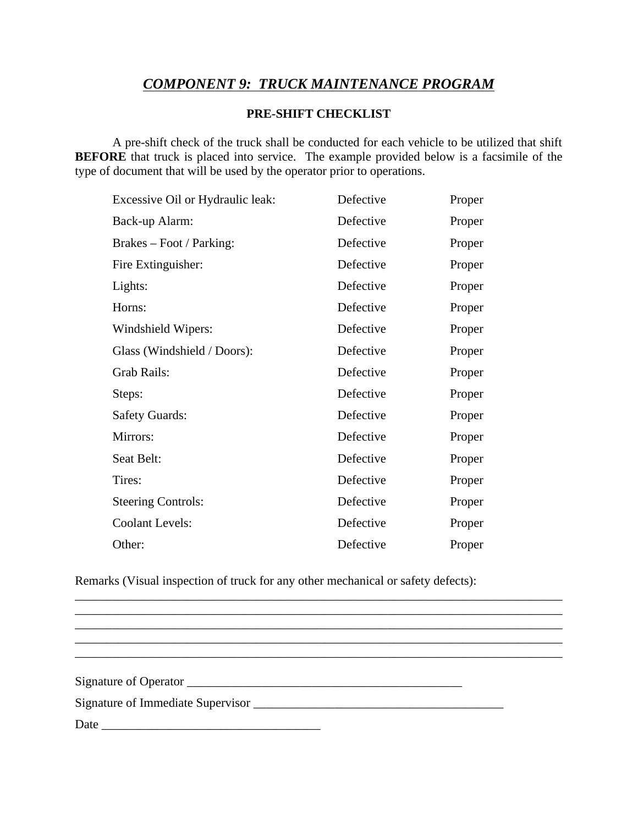# *COMPONENT 9: TRUCK MAINTENANCE PROGRAM*

#### **PRE-SHIFT CHECKLIST**

A pre-shift check of the truck shall be conducted for each vehicle to be utilized that shift **BEFORE** that truck is placed into service. The example provided below is a facsimile of the type of document that will be used by the operator prior to operations.

| Defective | Proper |
|-----------|--------|
| Defective | Proper |
| Defective | Proper |
| Defective | Proper |
| Defective | Proper |
| Defective | Proper |
| Defective | Proper |
| Defective | Proper |
| Defective | Proper |
| Defective | Proper |
| Defective | Proper |
| Defective | Proper |
| Defective | Proper |
| Defective | Proper |
| Defective | Proper |
| Defective | Proper |
| Defective | Proper |
|           |        |

Remarks (Visual inspection of truck for any other mechanical or safety defects):

\_\_\_\_\_\_\_\_\_\_\_\_\_\_\_\_\_\_\_\_\_\_\_\_\_\_\_\_\_\_\_\_\_\_\_\_\_\_\_\_\_\_\_\_\_\_\_\_\_\_\_\_\_\_\_\_\_\_\_\_\_\_\_\_\_\_\_\_\_\_\_\_\_\_\_\_\_\_

Signature of Operator \_\_\_\_\_\_\_\_\_\_\_\_\_\_\_\_\_\_\_\_\_\_\_\_\_\_\_\_\_\_\_\_\_\_\_\_\_\_\_\_\_\_\_\_ Signature of Immediate Supervisor \_\_\_\_\_\_\_\_\_\_\_\_\_\_\_\_\_\_\_\_\_\_\_\_\_\_\_\_\_\_\_\_\_\_\_\_\_\_\_\_

\_\_\_\_\_\_\_\_\_\_\_\_\_\_\_\_\_\_\_\_\_\_\_\_\_\_\_\_\_\_\_\_\_\_\_\_\_\_\_\_\_\_\_\_\_\_\_\_\_\_\_\_\_\_\_\_\_\_\_\_\_\_\_\_\_\_\_\_\_\_\_\_\_\_\_\_\_\_ \_\_\_\_\_\_\_\_\_\_\_\_\_\_\_\_\_\_\_\_\_\_\_\_\_\_\_\_\_\_\_\_\_\_\_\_\_\_\_\_\_\_\_\_\_\_\_\_\_\_\_\_\_\_\_\_\_\_\_\_\_\_\_\_\_\_\_\_\_\_\_\_\_\_\_\_\_\_

\_\_\_\_\_\_\_\_\_\_\_\_\_\_\_\_\_\_\_\_\_\_\_\_\_\_\_\_\_\_\_\_\_\_\_\_\_\_\_\_\_\_\_\_\_\_\_\_\_\_\_\_\_\_\_\_\_\_\_\_\_\_\_\_\_\_\_\_\_\_\_\_\_\_\_\_\_\_

 $\mathcal{L}_\mathcal{L} = \{ \mathcal{L}_\mathcal{L} = \{ \mathcal{L}_\mathcal{L} = \{ \mathcal{L}_\mathcal{L} = \{ \mathcal{L}_\mathcal{L} = \{ \mathcal{L}_\mathcal{L} = \{ \mathcal{L}_\mathcal{L} = \{ \mathcal{L}_\mathcal{L} = \{ \mathcal{L}_\mathcal{L} = \{ \mathcal{L}_\mathcal{L} = \{ \mathcal{L}_\mathcal{L} = \{ \mathcal{L}_\mathcal{L} = \{ \mathcal{L}_\mathcal{L} = \{ \mathcal{L}_\mathcal{L} = \{ \mathcal{L}_\mathcal{$ 

Date \_\_\_\_\_\_\_\_\_\_\_\_\_\_\_\_\_\_\_\_\_\_\_\_\_\_\_\_\_\_\_\_\_\_\_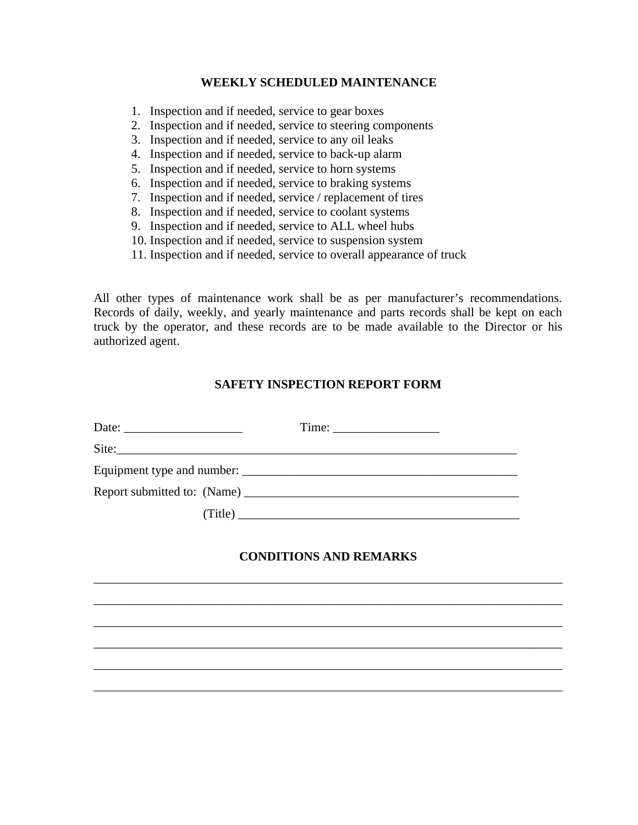#### **WEEKLY SCHEDULED MAINTENANCE**

- 1. Inspection and if needed, service to gear boxes
- 2. Inspection and if needed, service to steering components
- 3. Inspection and if needed, service to any oil leaks
- 4. Inspection and if needed, service to back-up alarm
- 5. Inspection and if needed, service to horn systems
- 6. Inspection and if needed, service to braking systems
- 7. Inspection and if needed, service / replacement of tires
- 8. Inspection and if needed, service to coolant systems
- 9. Inspection and if needed, service to ALL wheel hubs
- 10. Inspection and if needed, service to suspension system
- 11. Inspection and if needed, service to overall appearance of truck

All other types of maintenance work shall be as per manufacturer's recommendations. Records of daily, weekly, and yearly maintenance and parts records shall be kept on each truck by the operator, and these records are to be made available to the Director or his authorized agent.

## **SAFETY INSPECTION REPORT FORM**

| (Title) |  |
|---------|--|

#### **CONDITIONS AND REMARKS**

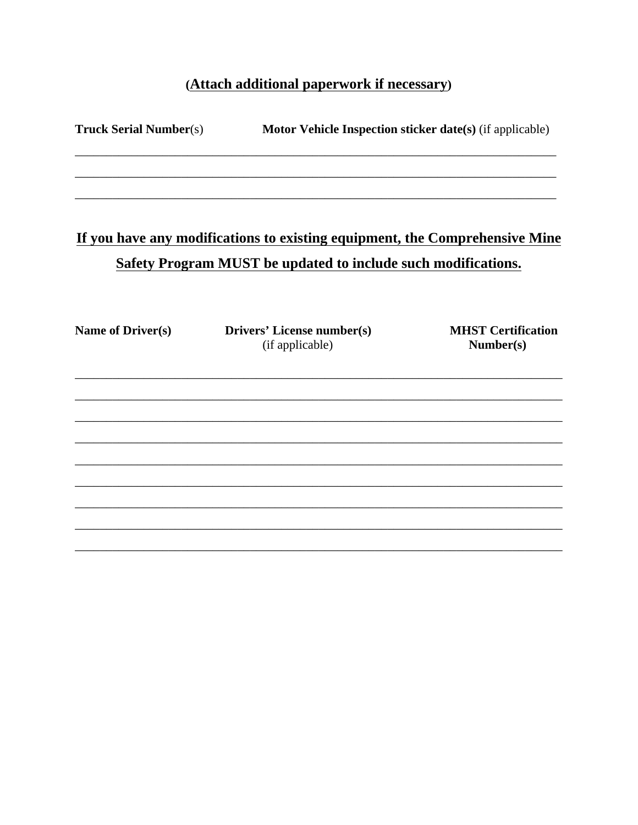# (Attach additional paperwork if necessary)

| <b>Truck Serial Number(s)</b> | Motor Vehicle Inspection sticker date(s) (if applicable)                                                                                            |                                        |
|-------------------------------|-----------------------------------------------------------------------------------------------------------------------------------------------------|----------------------------------------|
|                               |                                                                                                                                                     |                                        |
|                               | If you have any modifications to existing equipment, the Comprehensive Mine<br><b>Safety Program MUST be updated to include such modifications.</b> |                                        |
|                               |                                                                                                                                                     |                                        |
| <b>Name of Driver(s)</b>      | Drivers' License number(s)<br>(if applicable)                                                                                                       | <b>MHST Certification</b><br>Number(s) |
|                               |                                                                                                                                                     |                                        |
|                               |                                                                                                                                                     |                                        |
|                               |                                                                                                                                                     |                                        |
|                               |                                                                                                                                                     |                                        |
|                               |                                                                                                                                                     |                                        |